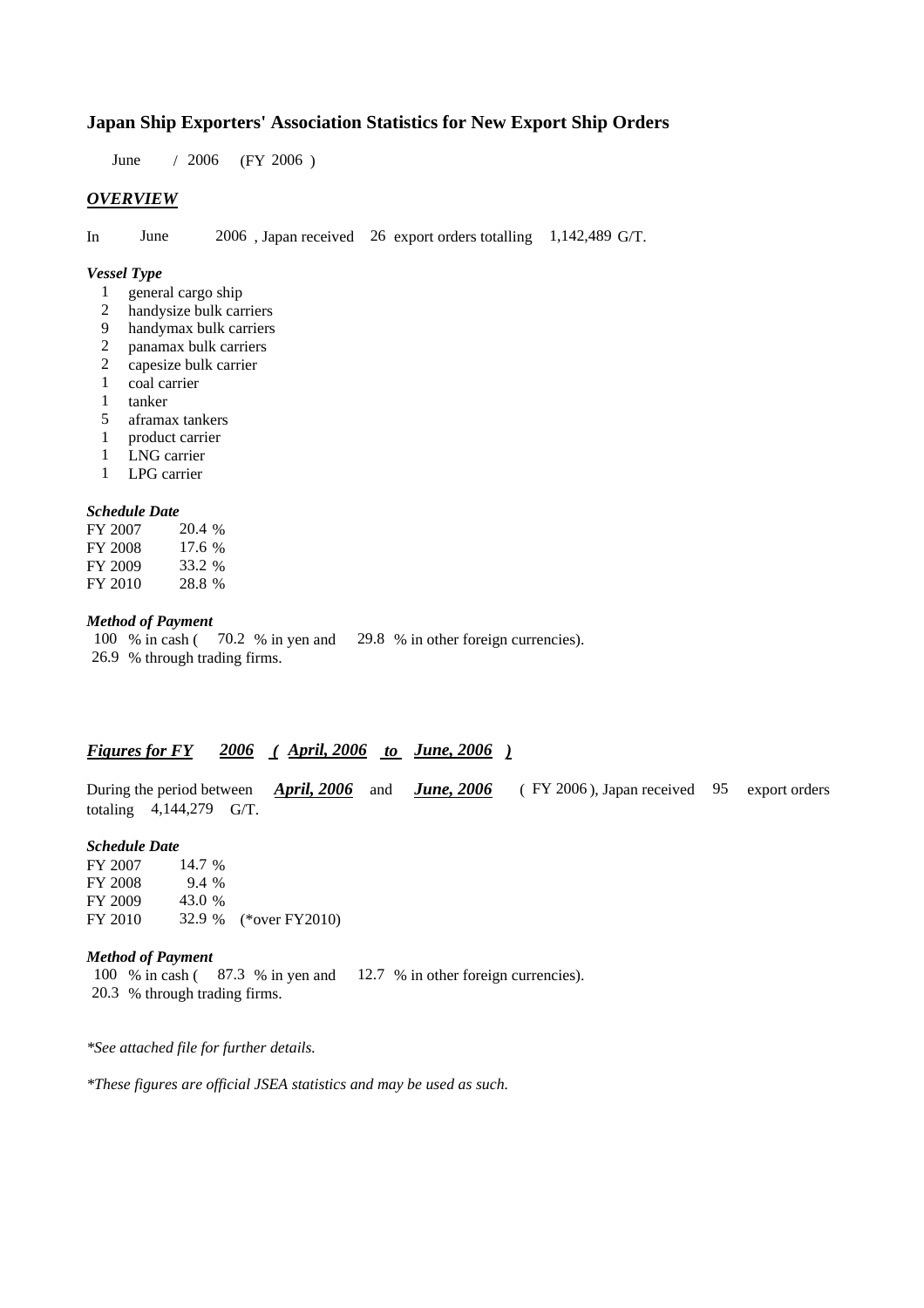# **Japan Ship Exporters' Association Statistics for New Export Ship Orders**

 $/ 2006$  (FY 2006) June / 2006

### *OVERVIEW*

In June 2006, Japan received 26 export orders totalling 1,142,489 G/T.

#### *Vessel Type*

- general cargo ship 1
- handysize bulk carriers 2
- handymax bulk carriers 9
- panamax bulk carriers 2
- capesize bulk carrier 2
- coal carrier 1
- tanker 1
- aframax tankers 5
- product carrier 1
- 1 LNG carrier
- LPG carrier 1

#### *Schedule Date*

| FY 2007 | 20.4 % |
|---------|--------|
| FY 2008 | 17.6%  |
| FY 2009 | 33.2 % |
| FY 2010 | 28.8%  |

## *Method of Payment*

100 % in cash (70.2 % in yen and 29.8 % in other foreign currencies). % through trading firms. 26.9

## *Figures for FY* 2006 (April, 2006 to June, 2006)

During the period between *April, 2006* and *June, 2006* (FY 2006), Japan received 95 export orders totaling  $4,144,279$  G/T.

#### *Schedule Date*

FY 2007 FY 2008 FY 2009 FY 2010 32.9 % (\*over FY2010) 14.7 % 9.4 43.0 32.9

#### *Method of Payment*

100 % in cash ( $\,$  87.3 % in yen and  $\,$  12.7 % in other foreign currencies). % through trading firms. 20.3

*\*See attached file for further details.*

*\*These figures are official JSEA statistics and may be used as such.*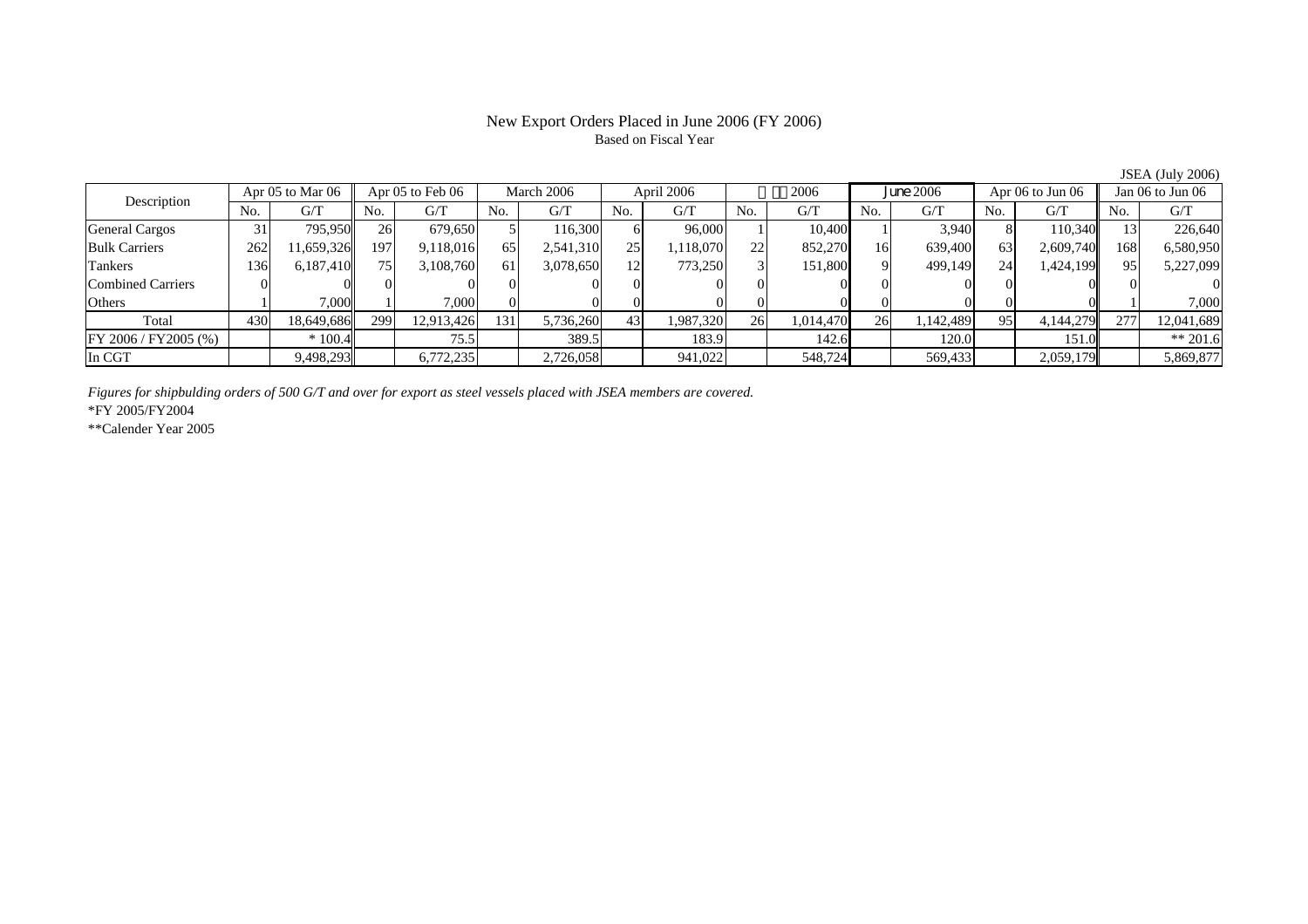# New Export Orders Placed in June 2006 (FY 2006) Based on Fiscal Year

JSEA (July 2006)

| Apr 05 to Mar 06<br>Description |     | Apr $05$ to Feb $06$ |     | March 2006 |     | April 2006 |     | 2006      |     | June 2006 |     | Apr $06$ to Jun $06$ |                 | Jan 06 to Jun 06 |     |            |
|---------------------------------|-----|----------------------|-----|------------|-----|------------|-----|-----------|-----|-----------|-----|----------------------|-----------------|------------------|-----|------------|
|                                 | No. | G/T                  | No. | G/T        | No. | G/T        | No. | G/T       | No. | G/T       | No. | G/T                  | No.             | G/T              | No. | G/T        |
| <b>General Cargos</b>           | 31  | 795.950              | 26  | 679.650    |     | 116,300    |     | 96,000    |     | 10.400    |     | 3.940                |                 | 110,340          |     | 226,640    |
| <b>Bulk Carriers</b>            | 262 | 1,659,326            | 197 | 9,118,016  | 65  | 2,541,310  | 251 | 1,118,070 | 22  | 852,270   | 16  | 639,400              | 63              | 2,609,740        | 168 | 6,580,950  |
| Tankers                         | 136 | 6,187,410            | 75  | 3,108,760  | 61  | 3,078,650  | 12  | 773,250   |     | 151,800   |     | 499,149              | 24 <sub>l</sub> | 1,424,199        | 95  | 5,227,099  |
| Combined Carriers               |     |                      |     |            |     |            |     |           |     |           |     |                      |                 |                  |     |            |
| Others                          |     | 7.000                |     | 7,000      |     |            |     |           |     |           |     |                      |                 |                  |     | 7.000      |
| Total                           | 430 | 18,649,686           | 299 | 12,913,426 | 131 | 5,736,260  | 43  | 1,987,320 | 26  | 1,014,470 | 261 | 1,142,489            | 95              | 4,144,279        | 277 | 12,041,689 |
| $FY$ 2006 / $FY$ 2005 (%)       |     | $*100.4$             |     | 75.5       |     | 389.5      |     | 183.9     |     | 142.6     |     | 120.0                |                 | 151.0            |     | $** 201.6$ |
| In CGT                          |     | 9,498,293            |     | 6,772,235  |     | 2,726,058  |     | 941,022   |     | 548,724   |     | 569,433              |                 | 2,059,179        |     | 5,869,877  |

*Figures for shipbulding orders of 500 G/T and over for export as steel vessels placed with JSEA members are covered.*

\*FY 2005/FY2004

\*\*Calender Year 2005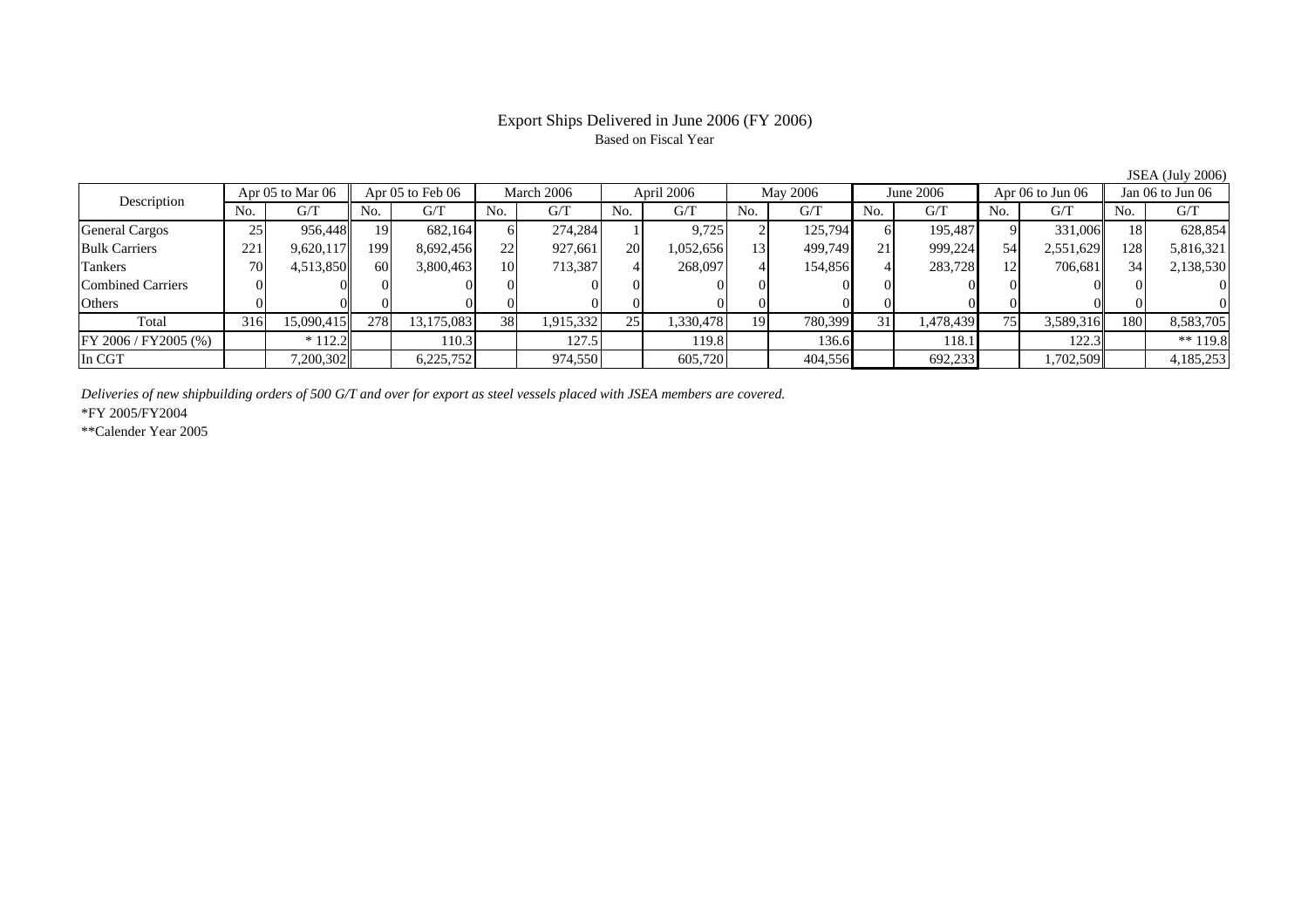## Export Ships Delivered in June 2006 (FY 2006) Based on Fiscal Year

No. I G/T II No. I G/T II No. I G/T II No. I G/T G/T II No. I G/T II No. I G/T II No. I G/T II No. I G/T II No  $\mathrm{G}/\mathrm{T}$ General Cargos 25 956,448 19 682,164 6 274,284 1 9,725 2 125,794 6 195,487 9 331,006 18 628,854 Bulk Carriers 221 9,620,117 199 8,692,456 22 927,661 20 1,052,656 13 499,749 21 999,224 54 2,551,629 128 5,816,321 Tankers | 70 | 4,513,850 || 60 | 3,800,463 | 10 | 713,387 | 4 | 268,097 | 4 | 154,856 | 4 | 283,728 | 12 | 706,681 | 34 | 2,138,530 Combined Carriers 0 0 0 0 0 0 0 0 0 0 0 0 0 0 0 0 $\overline{0}$ Others | 0 | 0 | 0 | 0 | 0 | 0 | 0 | 0 | 0 | 0 | 0 | 0 Total 316 15,090,415 278 13,175,083 38 1,915,332 25 1,330,478 19 780,399 31 1,478,439 75 3,589,316 180 8,583,705 FY 2006 / FY2005 (%) \* 112.2 110.3 127.5 119.8 136.6 118.1 122.3 \*\* 119.8 In CGT | | 7,200,302 | | 6,225,752 | | 974,550 | | 605,720 | | 404,556 | | 692,233 | | 1,702,509 | | 4,185,253 April 2006 Description Apr 05 to Mar 06 | Apr 05 to Feb 06 | March 2006 | April 2006 | May 2006 | June 2006 | Apr 06 to Jun 06 || Jan 06 to Jun 06

*Deliveries of new shipbuilding orders of 500 G/T and over for export as steel vessels placed with JSEA members are covered.*

\*FY 2005/FY2004

\*\*Calender Year 2005

JSEA (July 2006)